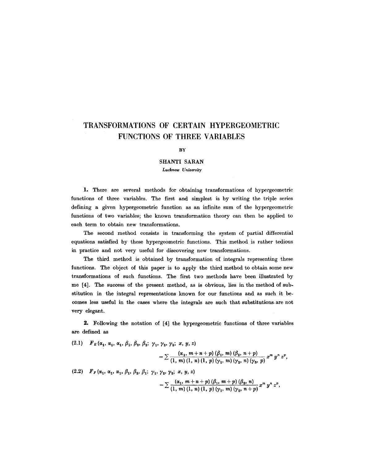# **TRANSFORMATIONS OF CERTAIN HYPERGEOMETRIC FUNCTIONS OF THREE VARIABLES**

#### **BY**

# SHANTI **SARAN**

### *Lucknow University*

1. There are several methods for obtaining transformations of hypergeometric functions of three variables. The first and simplest is by writing the triple series defining a given hypergeometric function as an infinite sum of the hypergeometric functions of two variables; the known transformation theory can then be applied to each term to obtain new transformations.

The second method consists in transforming the system of partial differential equations satisfied by these hyperge0metric functions. This method is rather tedious in practice and not very useful for discovering new transformations.

The third method is obtained by transformation of integrals representing these functions. The object of this paper is to apply the third method to obtain some new transformations of such functions. The first two methods have been illustrated by me [4]. The success of the present method, as is obvious, lies in the method of sub. stitution in the integral representations known for our functions and as such it becomes less useful in the cases where the integrals are such that substitutions, are not very elegant.

2. Following the notation of [4] the hypergeometric functions of three variables are defined as

(2.1)  $F_E(\alpha_1, \alpha_1, \alpha_1, \beta_1, \beta_2, \beta_2; \gamma_1, \gamma_2, \gamma_3; x, y, z)$ 

$$
=\sum\frac{(\alpha_1, m+n+p) (\beta_1, m) (\beta_2, n+p)}{(1, m) (1, n) (1, p) (\gamma_1, m) (\gamma_2, n) (\gamma_3, p)} x^m y^n z^p,
$$

(2.2)  $F_F(\alpha_1, \alpha_1, \alpha_1, \beta_1, \beta_2, \beta_1; \gamma_1, \gamma_2, \gamma_2; x, y, z)$ 

$$
=\sum \frac{(\alpha_1, m+n+p) (\beta_1, m+p) (\beta_2, n)}{(1, m) (1, n) (1, p) (\gamma_1, m) (\gamma_2, n+p)} x^m y^n z^p,
$$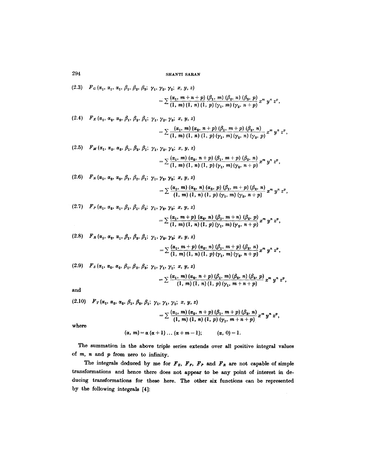(2.3)  $F_G(\alpha_1, \alpha_1, \alpha_1, \beta_1, \beta_2, \beta_3; \gamma_1, \gamma_2, \gamma_2; x, y, z)$ 

$$
= \sum \frac{(\alpha_1, m+n+p)}{(1, m)(1, n)(1, p)(\gamma_1, m)(\gamma_2, n+p)} x^m y^n z^p,
$$

(2.4)  $F_K(\alpha_1, \alpha_2, \alpha_2, \beta_1, \beta_2, \beta_1; \gamma_1, \gamma_2, \gamma_3; x, y, z)$ 

$$
=\sum \frac{(\alpha_1, m) (\alpha_2, n+p) (\beta_1, m+p) (\beta_2, n)}{(1, m) (1, n) (1, p) (\gamma_1, m) (\gamma_2, n) (\gamma_3, p)} x^m y^n z^p,
$$

(2.5)  $F_M(\alpha_1, \alpha_2, \alpha_2, \beta_1, \beta_2, \beta_1; \gamma_1, \gamma_2, \gamma_2; x, y, z)$ 

$$
=\sum \frac{(\alpha_1, m) ( \alpha_2, n+p) (\beta_1, m+p) (\beta_2, n)}{(1, m) (1, n) (1, p) (\gamma_1, m) (\gamma_2, n+p)} x^m y^n z^p,
$$

(2.6)  $F_N(\alpha_1, \alpha_2, \alpha_3, \beta_1, \beta_2, \beta_1; \gamma_1, \gamma_2, \gamma_2; x, y, z)$ 

$$
=\sum \frac{(\alpha_1, m) ( \alpha_2, n) ( \alpha_3, p) (\beta_1, m+p) (\beta_2, n)}{(1, m) (1, n) (1, p) (\gamma_1, m) (\gamma_2, n+p)} x^m y^n z^p
$$

(2.7)  $F_P(\alpha_1, \alpha_2, \alpha_1, \beta_1, \beta_1, \beta_2; \gamma_1, \gamma_2, \gamma_2; x, y, z)$ 

$$
=\sum \frac{(\alpha_1, m+p) (\alpha_2, n) (\beta_1, m+n) (\beta_2, p)}{(1, m) (1, n) (1, p) (\gamma_1, m) (\gamma_2, n+p)} x^m y^n z^p,
$$

- $(P(2.8)$  **F**<sub>R</sub> $(\alpha_1, \alpha_2, \alpha_1, \beta_1, \beta_2, \beta_1; \gamma_1, \gamma_2, \gamma_2; x, y, z)$  $(\alpha_1, m + p) (\alpha_2, n) (\beta_1, m + p) (\beta_2, n)$ <sub>, m</sub>, n  $=$   $\angle$  (1, m) (1, n) (1, p) ( $\gamma$ , m) ( $\gamma$ , n + p)<sup>x</sup> y z,
- (2.9)  $F_s(\alpha_1, \alpha_2, \alpha_2, \beta_1, \beta_2, \beta_3; \gamma_1, \gamma_1, \gamma_1; x, y, z)$

$$
= \sum \frac{(\alpha_1, m) ( \alpha_2, n+p) (\beta_1, m) (\beta_2, n) (\beta_3, p)}{(1, m) (1, n) (1, p) (\gamma_1, m+n+p)} x^m y^n z^p,
$$

and

(2.10) 
$$
F_T(\alpha_1, \alpha_2, \alpha_2, \beta_1, \beta_2, \beta_1; \gamma_1, \gamma_1, \gamma_1; x, y, z)
$$
  
=  $\sum \frac{(\alpha_1, m) (\alpha_2, n + p) (\beta_1, m + p) (\beta_2, n)}{(1, m) (1, n) (1, p) (\gamma_1, m + n + p)} x^m y^n z^p$ ,  
where

where

$$
(\alpha, m) = \alpha (\alpha + 1) \ldots (\alpha + m - 1); \qquad (\alpha, 0) = 1.
$$

The summation in the above triple series extends over all positive integral values of  $m$ ,  $n$  and  $p$  from zero to infinity.

The integrals deduced by me for  $F_E$ ,  $F_F$ ,  $F_P$  and  $F_R$  are not capable of simple transformations and hence there does not appear to be any point of interest in deducing transformations for these here. The other six functions can be represented by the following integrals [4]: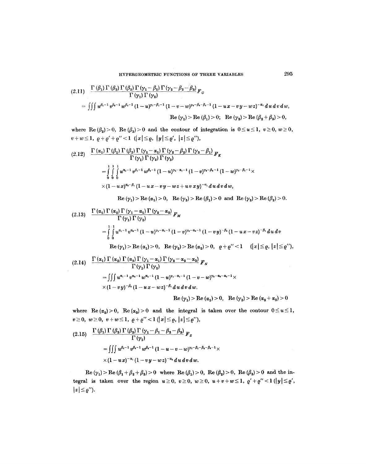$$
(2.11) \frac{\Gamma(\beta_1) \Gamma(\beta_2) \Gamma(\beta_3) \Gamma(\gamma_1 - \beta_1) \Gamma(\gamma_2 - \beta_2 - \beta_3)}{\Gamma(\gamma_1) \Gamma(\gamma_2)} F_G
$$
  
= 
$$
\iiint u^{\beta_1 - 1} v^{\beta_1 - 1} w^{\beta_1 - 1} (1 - u)^{\gamma_1 - \beta_1 - 1} (1 - v - w)^{\gamma_1 - \beta_1 - \beta_2 - 1} (1 - u x - v y - wz)^{-\alpha_1} du dv dw,
$$
  
Re $(\gamma_1) > Re (\beta_1) > 0$ ; Re $(\gamma_2) > Re (\beta_2 + \beta_3) > 0$ ,

where  $\text{Re}(\beta_2) > 0$ ,  $\text{Re}(\beta_3) > 0$  and the contour of integration is  $0 \le u \le 1$ ,  $v \ge 0$ ,  $w \ge 0$ ,  $v+w \le 1$ ,  $\rho + \rho' + \rho'' < 1$  (|x|  $\le \rho$ , |y|  $\le \rho'$ , |z|  $\le \rho''$ ),

$$
(2.12) \frac{\Gamma(\alpha_1) \Gamma(\beta_1) \Gamma(\beta_2) \Gamma(\gamma_1-\alpha_1) \Gamma(\gamma_2-\beta_2) \Gamma(\gamma_3-\beta_1)}{\Gamma(\gamma_1) \Gamma(\gamma_2) \Gamma(\gamma_3)} F_K
$$
  
= 
$$
\int_{0}^{1} \int_{0}^{1} u^{\alpha_1-1} v^{\beta_1-1} w^{\beta_1-1} (1-u)^{\gamma_1-\alpha_1-1} (1-v)^{\gamma_1-\beta_1-1} (1-w)^{\gamma_2-\beta_1-1} \times
$$
  

$$
\times (1-u^2)^{\alpha_1-\beta_1} (1-u^2-v^2-u^2+uv^2)v^{-\alpha_1} du dv dw,
$$

 $\text{Re } (\gamma_1) > \text{Re } (\alpha_1) > 0, \text{ } \text{ } \text{Re } (\gamma_3) > \text{Re } (\beta_1) > 0 \text{ and } \text{ } \text{Re } (\gamma_2) > \text{Re } (\beta_2) > 0.$ 

$$
(2.13) \quad \frac{\Gamma(\alpha_1) \Gamma(\alpha_2) \Gamma(\gamma_1 - \alpha_1) \Gamma(\gamma_2 - \alpha_2)}{\Gamma(\gamma_1) \Gamma(\gamma_2)}
$$
  
= 
$$
\int_{0}^{1.1} u^{\alpha_1 - 1} v^{\alpha_2 - 1} (1 - u)^{\gamma_1 - \alpha_1 - 1} (1 - v)^{\gamma_2 - \alpha_2 - 1} (1 - v)^{\gamma_3 - (\alpha_1 - 1)} (1 - v)^{\gamma_4 - (\alpha_2 - 1)} (1 - u)^{\gamma_5} (1 - u)^{\gamma_6}
$$
  
Re $(\gamma_1)$  > Re $(\alpha_1)$  > 0, Re $(\gamma_2)$  > Re $(\alpha_2)$  > 0,  $\varrho + \varrho'' < 1$   $(|x| \leq \varrho, |z| \leq \varrho'')$ ,

$$
(2.14) \frac{\Gamma(\alpha_1) \Gamma(\alpha_2) \Gamma(\alpha_3) \Gamma(\gamma_1 - \alpha_1) \Gamma(\gamma_2 - \alpha_2 - \alpha_3)}{\Gamma(\gamma_1) \Gamma(\gamma_2)} F_N
$$
  
= 
$$
\iiint u^{\alpha_1 - 1} v^{\alpha_2 - 1} w^{\alpha_3 - 1} (1 - u)^{\gamma_1 - \alpha_1 - 1} (1 - v - w)^{\gamma_1 - \alpha_2 - \alpha_3 - 1} \times
$$
  

$$
\times (1 - v y)^{-\beta_1} (1 - u x - wz)^{-\beta_1} du dv dw.
$$
  
Re  $(\gamma_1) > \text{Re} (\alpha_1) > 0$ , Re  $(\gamma_2) > \text{Re} (\alpha_2 + \alpha_3) > 0$ 

where  $\text{Re}(\alpha_2) > 0$ ,  $\text{Re}(\alpha_3) > 0$  and the integral is taken over the contour  $0 \le u \le 1$ ,  $v\geq 0$ ,  $w\geq 0$ ,  $v+w\leq 1$ ,  $\rho+\rho''<1$  ( $|x|\leq \rho$ ,  $|z|\leq \rho''$ ),

$$
(2.15) \quad \frac{\Gamma(\beta_1) \Gamma(\beta_2) \Gamma(\beta_3) \Gamma(\gamma_1 - \beta_1 - \beta_2 - \beta_3)}{\Gamma(\gamma_1)} F_S
$$
  
= 
$$
\iiint u^{\beta_1 - 1} v^{\beta_2 - 1} w^{\beta_3 - 1} (1 - u - v - w)^{\gamma_1 - \beta_1 - \beta_2 - 1} \times
$$
  

$$
\times (1 - u^2)^{-\alpha_1} (1 - v^2 - w^2)^{-\alpha_2} du dv dw.
$$

 $\text{Re}(\gamma_1) > \text{Re}(\beta_1 + \beta_2 + \beta_3) > 0$  where  $\text{Re}(\beta_1) > 0$ ,  $\text{Re}(\beta_2) > 0$ ,  $\text{Re}(\beta_3) > 0$  and the integral is taken over the region  $u \ge 0$ ,  $v \ge 0$ ,  $w \ge 0$ ,  $u+v+w \le 1$ ,  $\varrho' + \varrho'' < 1$  ( $|y| \le \varrho'$ )  $|z| \leq \varrho'$ ).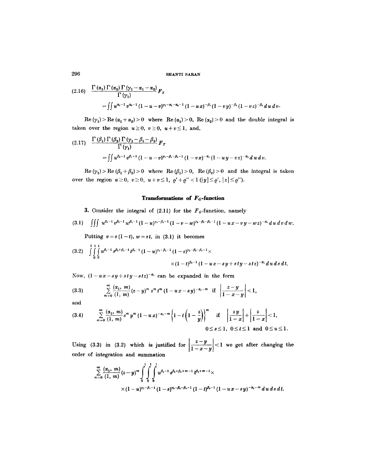$$
(2.16) \quad \frac{\Gamma(\alpha_1) \Gamma(\alpha_2) \Gamma(\gamma_1 - \alpha_1 - \alpha_2)}{\Gamma(\gamma_1)} F_s
$$
  
= 
$$
\iint u^{\alpha_1 - 1} v^{\alpha_2 - 1} (1 - u - v)^{\gamma_1 - \alpha_1 - \alpha_2 - 1} (1 - u \, x)^{-\beta_1} (1 - v \, y)^{-\beta_2} (1 - v \, z)^{-\beta_2} du \, dv.
$$

 $\text{Re}(\gamma_1) > \text{Re}(\alpha_1 + \alpha_2) > 0$  where  $\text{Re}(\alpha_1) > 0$ ,  $\text{Re}(\alpha_2) > 0$  and the double integral is taken over the region  $u \ge 0$ ,  $v \ge 0$ ,  $u + v \le 1$ , and,

$$
(2.17) \quad \frac{\Gamma(\beta_1) \Gamma(\beta_2) \Gamma(\gamma_1 - \beta_1 - \beta_2)}{\Gamma(\gamma_1)} F_T
$$
  
=  $\iint u^{\beta_1 - 1} v^{\beta_1 - 1} (1 - u - v)^{\gamma_1 - \beta_1 - \beta_1 - 1} (1 - v x)^{-\alpha_1} (1 - u y - v z)^{-\alpha_1} du dv.$ 

 $\text{Re}(\gamma_1)$  >  $\text{Re}(\beta_1+\beta_2)>0$  where  $\text{Re}(\beta_1)>0$ ,  $\text{Re}(\beta_2)>0$  and the integral is taken over the region  $u \ge 0$ ,  $v \ge 0$ ,  $u+v \le 1$ ,  $\varrho' + \varrho'' < 1$  ( $|y| \le \varrho'$ ,  $|z| \le \varrho''$ ).

### **Transformations of FG-fmaetion**

3. Consider the integral of  $(2.11)$  for the  $F<sub>G</sub>$ -function, namely

$$
(3.1) \quad \iiint u^{\beta_1-1} v^{\beta_2-1} w^{\beta_3-1} (1-u)^{\gamma_1-\beta_1-1} (1-v-w)^{\gamma_2-\beta_2-\beta_3-1} (1-ux-vy-wz)^{-\alpha_1} du dv dw.
$$

Putting  $v=s(1-t)$ ,  $w=st$ , in (3.1) it becomes

$$
(3.2) \int_{0}^{1} \int_{0}^{1} u^{\beta_1-1} s^{\beta_2+\beta_3-1} t^{\beta_3-1} (1-u)^{\gamma_1-\beta_1-1} (1-s)^{\gamma_2-\beta_2-\beta_3-1} \times \\ \times (1-t)^{\beta_2-1} (1-u \, x-s \, y+ s \, ty-s \, tz)^{-\alpha_1} du \, ds \, dt.
$$

Now,  $(1-ux-sy+sty-stz)^{-\alpha_1}$  can be expanded in the form

(3.3) 
$$
\sum_{m=0}^{\infty} \frac{(\alpha_1, m)}{(1, m)} (z - y)^m s^m t^m (1 - u x - s y)^{-\alpha_1 - m} \text{ if } \left| \frac{z - y}{1 - x - y} \right| < 1,
$$

and

$$
(3.4) \qquad \sum_{m=0}^{\infty} \frac{(\alpha_1, m)}{(1, m)} s^m y^m (1 - u x)^{-\alpha_1 - m} \left\{ 1 - t \left( 1 - \frac{z}{y} \right) \right\}^m \quad \text{if} \quad \left| \frac{zy}{1 - x} \right| + \left| \frac{z}{1 - x} \right| < 1, \quad 0 \leq s \leq 1, \quad 0 \leq t \leq 1 \quad \text{and} \quad 0 \leq u \leq 1.
$$

Using (3.3) in (3.2) which is justified for  $\left|\frac{x-y}{1-x-y}\right| < 1$  we get after changing the order of integration and summation

$$
\sum_{m=0}^{\infty} \frac{(\alpha_1, m)}{(1, m)} (z - y)^m \int_0^1 \int_0^1 \int_0^1 u^{\beta_1 - 1} s^{\beta_2 + \beta_3 + m - 1} t^{\beta_3 + m - 1} \times
$$
  
 
$$
\times (1 - u)^{\gamma_1 - \beta_1 - 1} (1 - s)^{\gamma_2 - \beta_2 - \beta_3 - 1} (1 - t)^{\beta_3 - 1} (1 - u x - s y)^{-\alpha_1 - m} du ds dt.
$$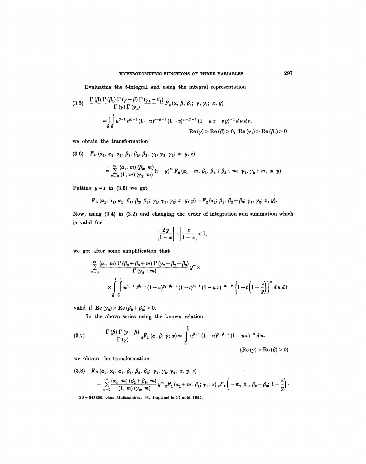Evaluating the t-integral and using the integral representation

(3.5) 
$$
\frac{\Gamma(\beta) \Gamma(\beta_1) \Gamma(\gamma - \beta) \Gamma(\gamma_1 - \beta_1)}{\Gamma(\gamma) \Gamma(\gamma_1)} F_2(\alpha, \beta, \beta_1; \gamma, \gamma_1; x, y)
$$
  
= 
$$
\int_0^1 \int_0^1 u^{\beta-1} v^{\beta_1-1} (1-u)^{\gamma-\beta-1} (1-v)^{\gamma_1-\beta_1-1} (1-u x-v y)^{-\alpha} du dv.
$$
  
Re  $(\gamma) > \text{Re}(\beta) > 0$ , Re  $(\gamma_1) > \text{Re}(\beta_1) > 0$ 

we obtain the transformation

(3.6) 
$$
F_G(\alpha_1, \alpha_1, \alpha_1, \beta_1, \beta_2, \beta_3; \gamma_1, \gamma_2, \gamma_2; x, y, z)
$$
  
= 
$$
\sum_{m=0}^{\infty} \frac{(\alpha_1, m) (\beta_3, m)}{(1, m) (\gamma_2, m)} (z - y)^m F_2(\alpha_1 + m, \beta_1, \beta_2 + \beta_3 + m; \gamma_1, \gamma_2 + m; x, y).
$$

Putting  $y=z$  in (3.6) we get

$$
F_{G}(\alpha_{1}, \alpha_{1}, \alpha_{1}, \beta_{1}, \beta_{2}, \beta_{3}; \gamma_{1}, \gamma_{2}, \gamma_{2}; x, y, y) = F_{2}(\alpha_{1}; \beta_{1}, \beta_{2} + \beta_{3}; \gamma_{1}, \gamma_{2}; x, y).
$$

Now, using (3.4) in (3.2) and changing the order of integration and summation which is valid for

$$
\left|\frac{2y}{1-x}\right|+\left|\frac{z}{1-x}\right|<1,
$$

we get after some simplification that

$$
\sum_{m=0}^{\infty} \frac{(\alpha_1, m) \Gamma(\beta_2 + \beta_3 + m) \Gamma(\gamma_2 - \beta_2 - \beta_3)}{\Gamma(\gamma_2 + m)} y^m \times \times \int_{0}^{1} \int_{0}^{1} u^{\beta_1 - 1} t^{\beta_2 - 1} (1 - u)^{\gamma_1 - \beta_1 - 1} (1 - t)^{\beta_1 - 1} (1 - ux)^{-\alpha_1 - m} \left\{1 - t \left(1 - \frac{z}{y}\right)\right\}^m du dt
$$

valid if  $\text{Re}(\gamma_2) > \text{Re}(\beta_2 + \beta_3) > 0.$ 

In the above series using the known relation

(3.7) 
$$
\frac{\Gamma(\beta)\Gamma(\gamma-\beta)}{\Gamma(\gamma)}\, {}_{2}F_{1}(\alpha,\,\beta;\,\gamma;\,x)=\int\limits_{0}^{1}u^{\beta-1}\,(1-u)^{\gamma-\beta-1}\,(1-u\,x)^{-\alpha}\,du.
$$

 $\overline{a}$ 

 $(Re (\gamma) > Re (\beta) > 0)$ 

 $\sim$  ,  $\epsilon$ 

we obtain the transformation

$$
(3.8) \quad F_G(\alpha_1, \alpha_1, \alpha_1, \beta_1, \beta_2, \beta_3, \gamma_1, \gamma_2, \gamma_2; x, y, z) = \sum_{m=0}^{\infty} \frac{(\alpha_1, m) (\beta_2 + \beta_3, m)}{(1, m) (\gamma_2, m)} y^m {}_{2}F_1(\alpha_1 + m, \beta_1; \gamma_1; x) {}_{2}F_1(-m, \beta_3, \beta_2 + \beta_3; 1 - \frac{z}{y}).
$$

20-543809. *Acta Mathematica*. 93. Imprimé le 17 août 1955.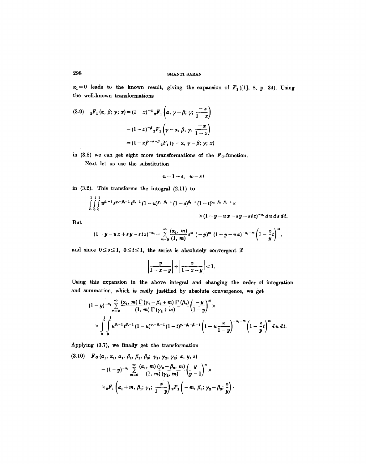$\alpha_1 = 0$  leads to the known result, giving the expansion of  $F_1$  ([1], 8, p. 34). Using the well-known transformations

$$
(3.9) \quad {}_{2}F_{1}(\alpha, \beta; \gamma; x) = (1-x)^{-\alpha} {}_{2}F_{1}\left(\alpha, \gamma - \beta; \gamma; \frac{-x}{1-x}\right)
$$

$$
= (1-x)^{-\beta} {}_{2}F_{1}\left(\gamma - \alpha, \beta; \gamma; \frac{-x}{1-x}\right)
$$

$$
= (1-x)^{\gamma - \alpha - \beta} {}_{2}F_{1}\left(\gamma - \alpha, \gamma - \beta; \gamma; x\right)
$$

in (3.8) we can get eight more transformations of the  $F<sub>o</sub>$ -function.

Next let us use the substitution

$$
n=1-s, \quad w=s\,t
$$

in (3.2). This transforms the integral (2.11) to

$$
\int_{0}^{1} \int_{0}^{1} \int_{0}^{1} u^{\beta_1-1} s^{\gamma_2-\beta_2-1} t^{\beta_2-1} (1-u)^{\gamma_1-\beta_1-1} (1-s)^{\beta_2-1} (1-t)^{\gamma_2-\beta_2-\beta_2-1} \times \times (1-y-u \, x+s \, y -s \, tz)^{-\alpha_1} du \, ds \, dt.
$$

But

$$
(1-y-ux+sy-stz)^{-\alpha_1}=\sum_{m=0}^{\infty}\frac{(\alpha_1, m)}{(1, m)}s^m(-y)^m(1-y-ux)^{-\alpha_1-m}\left(1-\frac{z}{y}\right)^m,
$$

and since  $0 \le s \le 1$ ,  $0 \le t \le 1$ , the series is absolutely convergent if

$$
\left|\frac{y}{1-x-y}\right|+\left|\frac{z}{1-x-y}\right|<1.
$$

Using this expansion in the above integral and changing the order of integration and summation, which is easily justified by absolute convergence, we get

$$
(1-y)^{-\alpha_{1}}\sum_{m=0}^{\infty}\frac{(\alpha_{1},m)\Gamma(\gamma_{2}-\beta_{2}+m)\Gamma(\beta_{2})}{(1,m)\Gamma(\gamma_{2}+m)}\left(\frac{-y}{1-y}\right)^{m}\times\\\times\int_{0}^{1}\int_{0}^{1}u^{\beta_{1}-1}t^{\beta_{2}-1}(1-u)^{\gamma_{1}-\beta_{1}-1}(1-t)^{\gamma_{2}-\beta_{2}-\beta_{2}-1}\left(1-u\frac{x}{1-y}\right)^{-\alpha_{1}-m}\left(1-\frac{z}{y}t\right)^{m}du dt.
$$

Applying (3.7), we finally get the transformation

(3.10) 
$$
F_G(\alpha_1, \alpha_1, \alpha_1, \beta_1, \beta_2, \beta_3; \gamma_1, \gamma_2, \gamma_2; x, y, z) = (1 - y)^{-\alpha_1} \sum_{m=0}^{\infty} \frac{(\alpha_1, m) (\gamma_2 - \beta_2, m)}{(1, m) (\gamma_2, m)} \left(\frac{y}{y - 1}\right)^m \times \\ \times {}_2F_1\left(\alpha_1 + m, \beta_1; \gamma_1; \frac{x}{1 - y}\right){}_2F_1\left(-m, \beta_2; \gamma_2 - \beta_2; \frac{z}{y}\right).
$$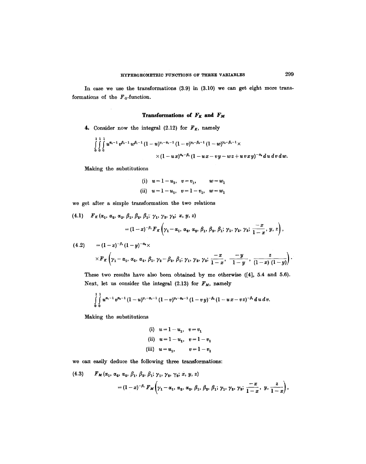In case we use the transformations  $(3.9)$  in  $(3.10)$  we can get eight more transformations of the  $F<sub>G</sub>$ -function.

# **Transformations of Fg and** *FM*

4. Consider now the integral (2.12) for  $F_K$ , namely

$$
\int_{0}^{1} \int_{0}^{1} \int_{0}^{1} u^{\alpha_1-1} v^{\beta_1-1} w^{\beta_1-1} (1-u)^{\gamma_1-\alpha_1-1} (1-v)^{\gamma_1-\beta_1-1} (1-w)^{\gamma_1-\beta_1-1} \times \times (1-u x)^{\alpha_1-\beta_1} (1-u x-v y-w z+uv x y)^{-\alpha_1} du dv dw.
$$

Making the substitutions

(i)  $u = 1 - u_1, v = v_1, w = w_1$ (ii)  $u=1-u_1, v=1-v_1, w=w_1$ 

we get after a simple transformation the two relations

$$
(4.1) \quad F_K(\alpha_1, \alpha_2, \alpha_2, \beta_1, \beta_2, \beta_1; \gamma_1, \gamma_2, \gamma_3; x, y, z) = (1-x)^{-\beta_1} F_K(\gamma_1 - \alpha_1, \alpha_2, \alpha_2, \beta_1, \beta_2, \beta_1; \gamma_1, \gamma_2, \gamma_3; \frac{-x}{1-x}, y, z),
$$
  

$$
(4.2) \quad = (1-x)^{-\beta_1} (1-y)^{-\alpha_2} \times \times F_K(\gamma_1 - \alpha_1, \alpha_2, \alpha_2, \beta_1, \gamma_2 - \beta_2, \beta_1; \gamma_1, \gamma_2, \gamma_3; \frac{-x}{1-x}, \frac{-y}{1-y}, \frac{z}{(1-x)(1-y)}).
$$

These two results have also been obtained by me otherwise ([4], 5.4 and 5.6). Next, let us consider the integral (2.13) for  $F_M$ , namely

$$
\int_{0}^{1} \int_{0}^{1} u^{\alpha_1-1} v^{\alpha_2-1} (1-u)^{\gamma_1-\alpha_1-1} (1-v)^{\gamma_2-\alpha_2-1} (1-vy)^{-\beta_1} (1-u x-v z)^{-\beta_1} du dv.
$$

Making the substitutions

(i) 
$$
u = 1 - u_1
$$
,  $v = v_1$   
\n(ii)  $u = 1 - u_1$ ,  $v = 1 - v_1$   
\n(iii)  $u = u_1$ ,  $v = 1 - v_1$ 

we can easily deduce the following three transformations:

(4.3) 
$$
F_M(\alpha_1, \alpha_2, \alpha_3, \beta_1, \beta_2, \beta_1; \gamma_1, \gamma_2, \gamma_2; x, y, z) = (1-x)^{-\beta_1} F_M(\gamma_1 - \alpha_1, \alpha_2, \alpha_2, \beta_1, \beta_2, \beta_1; \gamma_1, \gamma_2, \gamma_2; \frac{-x}{1-x}, y, \frac{z}{1-x}),
$$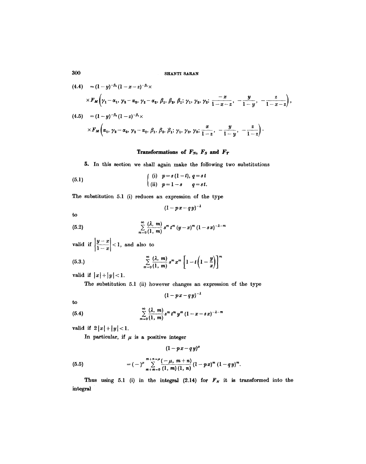$$
(4.4) = (1 - y)^{-\beta_1} (1 - x - z)^{-\beta_1} \times
$$
  
\n
$$
\times F_M \left( \gamma_1 - \alpha_1, \gamma_2 - \alpha_2, \gamma_2 - \alpha_2, \beta_1, \beta_2, \beta_1; \gamma_1, \gamma_2, \gamma_2; \frac{-x}{1 - x - z}, -\frac{y}{1 - y}, -\frac{z}{1 - x - z} \right),
$$
  
\n
$$
(4.5) = (1 - y)^{-\beta_1} (1 - z)^{-\beta_1} \times
$$
  
\n
$$
\times F_M \left( \alpha_1, \gamma_2 - \alpha_2, \gamma_2 - \alpha_2, \beta_1, \beta_2, \beta_1; \gamma_1, \gamma_2, \gamma_2; \frac{x}{1 - z}, -\frac{y}{1 - y}, -\frac{z}{1 - z} \right).
$$

# Transformations of  $F_N$ ,  $F_S$  and  $F_T$

5. In this section we shall again make the following two substitutions

(5.1) 
$$
\begin{cases} (i) & p = s(1-t), q = st \\ (ii) & p = 1-s \end{cases}
$$
  $q = st$ .

The substitution 5.1 (i) reduces an expression of the type

$$
(1 - px - qy)^{-\lambda}
$$

*to* 

(5.2) 
$$
\sum_{m=0}^{\infty} \frac{(\lambda, m)}{(1, m)} s^m t^m (y-x)^m (1-sx)^{-\lambda-m}
$$

valid if  $\left|\frac{y-x}{1-x}\right| < 1$ , and also to

(5.3.) 
$$
\sum_{m=0}^{\infty} \frac{(\lambda, m)}{(1, m)} s^m x^m \left[1 - t \left(1 - \frac{y}{x}\right)\right]^m
$$

valid if  $|x|+|y|<1$ .

The substitution 5.1 (ii) however changes an expression of the type

 $(1 - px - qy)^{-\lambda}$ 

to

(5.4) 
$$
\sum_{m=0}^{\infty} \frac{(\lambda, m)}{(1, m)} s^m t^m y^m (1 - x - s x)^{-\lambda - m}
$$

valid if  $2|x|+|y|<1$ .

In particular, if  $\mu$  is a positive integer

$$
(1 - p x - q y)^{\mu}
$$

(5.5) 
$$
= (-)^{\mu} \sum_{m+m=0}^{m+n-\mu} \frac{(-\mu, m+n)}{(1, m)(1, n)} (1 - px)^m (1 - qy)^m.
$$

Thus using 5.1 (i) in the integral (2.14) for  $F_N$  it is transformed into the integral

3OO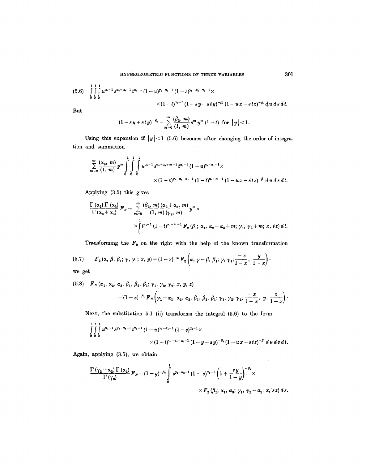$$
(5.6) \int_{0}^{1} \int_{0}^{1} \int_{0}^{1} u^{\alpha_{1}-1} s^{\alpha_{2}+\alpha_{3}-1} t^{\alpha_{4}-1} (1-u)^{\gamma_{1}-\alpha_{1}-1} (1-s)^{\gamma_{2}-\alpha_{2}-\alpha_{3}-1} \times \\ \times (1-t)^{\alpha_{4}-1} (1-sy+sty)^{-\beta_{1}} (1-ux-stz)^{-\beta_{1}}dudsdt.
$$

But

$$
(1-sy+sty)^{-\beta_2}=\sum_{m=0}^{\infty}\frac{(\beta_2, m)}{(1, m)}s^m y^m (1-t) \ \ \text{for} \ \ |y|<1.
$$

Using this expansion if  $|y| < 1$  (5.6) becomes after changing the order of integration and summation

$$
\sum_{m=0}^{\infty} \frac{(\alpha_2, m)}{(1, m)} y^m \int_{0}^{1} \int_{0}^{1} \int_{0}^{1} u^{\alpha_1-1} s^{\alpha_2+\alpha_3+m-1} t^{\alpha_3-1} (1-u)^{\gamma_1-\alpha_1-1} \times \times (1-s)^{\gamma_1-\alpha_2-\alpha_3-1} (1-t)^{\alpha_2+m-1} (1-u x - s t z)^{-\beta_1} du ds dt.
$$

Applying (3.5) this gives

$$
\frac{\Gamma(\alpha_2) \Gamma(\alpha_3)}{\Gamma(\alpha_2+\alpha_3)} F_N = \sum_{m=0}^{\infty} \frac{(\beta_2, m) (\alpha_2+\alpha_3, m)}{(1, m) (\gamma_2, m)} y^m \times \times \int_0^1 t^{\alpha_2-1} (1-t)^{\alpha_2+m-1} F_2(\beta_1; \alpha_1, \alpha_2+\alpha_3+m; \gamma_1, \gamma_2+m; x, tz) dt.
$$

Transforming the  $F_2$  on the right with the help of the known transformation

(5.7) 
$$
F_2(\alpha, \beta, \beta_1; \gamma, \gamma_1; x, y) = (1-x)^{-\alpha} F_2\left(\alpha, \gamma-\beta, \beta_1; \gamma, \gamma_1; \frac{-x}{1-x}, \frac{y}{1-x}\right).
$$

we get

(5.8) 
$$
F_N(\alpha_1, \alpha_2, \alpha_3, \beta_1, \beta_2, \beta_1; \gamma_1, \gamma_2, \gamma_2; x, y, z)
$$
  
=  $(1-x)^{-\beta_1} F_N(\gamma_1 - \alpha_1, \alpha_2, \alpha_3, \beta_1, \beta_2, \beta_1; \gamma_1, \gamma_2, \gamma_2; \frac{-x}{1-x}, y, \frac{z}{1-x})$ .

Next, the substitution 5.1 (ii) transforms the integral  $(5.6)$  to the form

$$
\int_{0}^{1} \int_{0}^{1} \int_{0}^{1} u^{\alpha_{i}-1} s^{\gamma_{i}-\alpha_{i}-1} t^{\alpha_{i}-1} (1-u)^{\gamma_{i}-\alpha_{i}-1} (1-s)^{\alpha_{i}-1} \times \\ \times (1-t)^{\gamma_{i}-\alpha_{i}-\alpha_{i}-1} (1-y+s\,y)^{-\beta_{i}} (1-ux-stz)^{-\beta_{i}} du \, ds \, dt.
$$

Again, applying (3.5), we obtain

$$
\frac{\Gamma(\gamma_2-\alpha_2)\Gamma(\alpha_2)}{\Gamma(\gamma_2)}F_N=(1-y)^{-\beta_1}\int\limits_{0}^{1}s^{\gamma_2-\alpha_2-1}(1-s)^{\alpha_2-1}\left(1+\frac{sy}{1-y}\right)^{-\beta_1}\times\\\times F_2(\beta_1;\,\alpha_1,\,\alpha_3;\,\gamma_1,\,\gamma_2-\alpha_2;\,x,\,s\,z)\,ds.
$$

 $\lambda$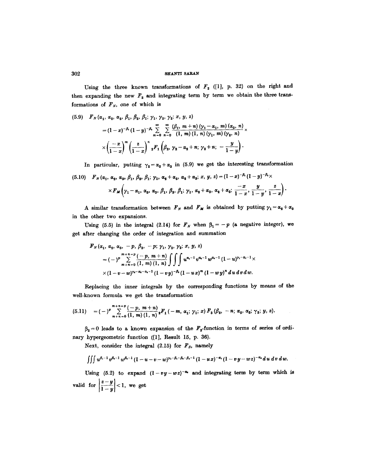### $302$  shanti saran

Using the three known transformations of  $F_2$  ([1], p. 32) on the right and then expanding the new  $F_2$  and integrating term by term we obtain the three transformations of  $F_N$ , one of which is

$$
(5.9) \quad F_N(\alpha_1, \alpha_2, \alpha_3, \beta_1, \beta_2, \beta_1; \gamma_1, \gamma_2, \gamma_2; x, y, z) \\
= (1-x)^{-\beta_1} (1-y)^{-\beta_1} \sum_{m=0}^{\infty} \sum_{n=0}^{\infty} \frac{(\beta_1, m+n) (\gamma_1 - \alpha_1, m) (\alpha_3, n)}{(1, m) (1, n) (\gamma_1, m) (\gamma_2, n)} \times \left(\frac{-x}{1-x}\right)^m \left(\frac{z}{1-x}\right)^{r} {}_2F_1\left(\beta_2, \gamma_2 - \alpha_2 + n; \gamma_2 + n; - \frac{y}{1-y}\right).
$$

In particular, putting  $\gamma_2 = \alpha_2 + \alpha_3$  in (5.9) we get the interesting transformation (5.10)  $F_{N}(\alpha_1, \alpha_2, \alpha_3, \beta_1, \beta_2, \beta_1; \gamma_1, \alpha_2+\alpha_3, \alpha_2+\alpha_3; x, y, z) = (1-x)^{-\beta_1}(1-y)^{-\beta_1}\times$  $\times F_M\bigg(\gamma_1-\alpha_1,~\alpha_3,~\alpha_3,~\beta_1,~\beta_2,~\beta_1;~\gamma_1,~\alpha_2+\alpha_3,~\alpha_2+\alpha_3;~\frac{-x}{1-x},~\frac{y}{1-y},~\frac{z}{1-x}\bigg)$ 

A similar transformation between  $F_N$  and  $F_M$  is obtained by putting  $\gamma_1 = \alpha_2 + \alpha_3$ in the other two expansions.

Using (5.5) in the integral (2.14) for  $F_N$  when  $\beta_1 = -p$  (a negative integer), we get after changing the order of integration and summation

$$
F_N(\alpha_1, \alpha_2, \alpha_3, -p, \beta_2, -p; \gamma_1, \gamma_2, \gamma_2; x, y, z)
$$
  
=  $(-)^p \sum_{m+n=0}^{m+n=p} \frac{(-p, m+n)}{(1, m)(1, n)} \int \int \int u^{\alpha_1-1} v^{\alpha_2-1} w^{\alpha_3-1} (1-u)^{\gamma_1-\alpha_1-1} \times$   
 $\times (1-v-w)^{\gamma_2-\alpha_2-\alpha_3-1} (1-vy)^{-\beta_3} (1-ux)^m (1-wy)^n du dv dw.$ 

Replacing the inner integrals by the corresponding functions by means of the well-known formula we get the transformation

$$
(5.11) = (-)^p \sum_{m+n=0}^{m+n-p} \frac{(-p, m+n)}{(1, m) (1, n)} {}_{2}F_1(-m, \alpha_1; \gamma_1; x) F_3(\beta_2, -n; \alpha_2, \alpha_3; \gamma_2; y, z).
$$

 $\beta_2 = 0$  leads to a known expansion of the  $F_2$ -function in terms of series of ordinary hypergeometric function ([1], Result 15, p. 36).

Next, consider the integral  $(2.15)$  for  $F_s$ , namely

$$
\iiint u^{\beta_1-1} v^{\beta_1-1} w^{\beta_1-1} (1-u-v-w)^{\gamma_1-\beta_1-\beta_1-\beta_1-1} (1-ux)^{-\alpha_1} (1-vy-wz)^{-\alpha_1} du dv dw.
$$

Using (5.2) to expand  $(1-vy-wz)^{-\alpha}$  and integrating term by term which is valid for  $\left|\frac{z-y}{1-y}\right| < 1$ , we get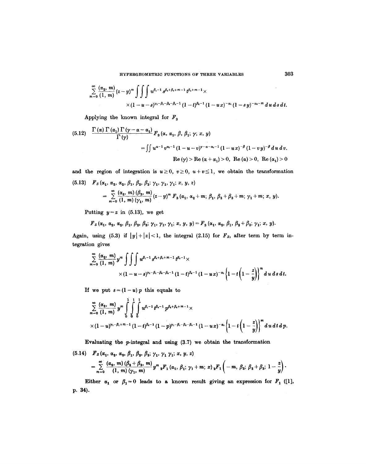$$
\sum_{m=0}^{\infty} \frac{(\alpha_2, m)}{(1, m)} (z - y)^m \int \int \int u^{\beta_1 - 1} s^{\beta_2 + \beta_3 + m - 1} t^{\beta_2 + m - 1} \times
$$
  
 
$$
\times (1 - u - s)^{\gamma_1 - \beta_1 - \beta_2 - \beta_3 - 1} (1 - t)^{\beta_2 - 1} (1 - ux)^{-\alpha_1} (1 - sy)^{-\alpha_2 - m} du ds dt.
$$

Applying the known integral for  $F_3$ 

(5.12) 
$$
\frac{\Gamma(\alpha) \Gamma(\alpha_1) \Gamma(\gamma - \alpha - \alpha_1)}{\Gamma(\gamma)} F_3(\alpha, \alpha_1, \beta, \beta_1; \gamma; x, y)
$$
  
= 
$$
\iint u^{\alpha - 1} v^{\alpha_1 - 1} (1 - u - v)^{\gamma - \alpha - \alpha_1 - 1} (1 - ux)^{-\beta} (1 - vy)^{-\beta} du dv.
$$
  
Re $(\gamma)$  > Re $(\alpha + \alpha_1)$  > 0, Re $(\alpha)$  > 0, Re $(\alpha_1)$  > 0

and the region of integration is  $u \geq 0$ ,  $v \geq 0$ ,  $u+v \leq 1$ , we obtain the transformation  $(5.13)$   $F_s (\alpha_1, \alpha_2, \alpha_3, \beta_1, \beta_2, \beta_3; \gamma_1, \gamma_2, \gamma_3; x, y, z)$ 

$$
F_S(\alpha_1, \alpha_2, \alpha_2, \beta_1, \beta_2, \beta_3; \gamma_1, \gamma_1, \gamma_1; x, y, z)
$$
  
= 
$$
\sum_{m=0}^{\infty} \frac{(\alpha_2, m) (\beta_3, m)}{(1, m) (\gamma_1, m)} (z - y)^m F_3(\alpha_1, \alpha_2 + m; \beta_1, \beta_2 + \beta_3 + m; \gamma_1 + m; x, y).
$$

Putting  $y=z$  in (5.13), we get

$$
F_s(\alpha_1, \alpha_2, \alpha_2, \beta_1, \beta_2, \beta_3; \gamma_1, \gamma_1, \gamma_1, x, y, y) = F_3(\alpha_1, \alpha_2, \beta_1, \beta_2 + \beta_3; \gamma_1; x, y).
$$

Again, using (5.3) if  $|y|+|z|<1$ , the integral (2.15) for  $F_s$ , after term by term in**tegration** gives

$$
\sum_{m=0}^{\infty} \frac{(\alpha_2, m)}{(1, m)} y^m \int \int \int u^{\beta_1-1} s^{\beta_1+\beta_1+m-1} t^{\beta_2-1} \times \times (1-u-s)^{\gamma_1-\beta_1-\beta_1-1} (1-t)^{\beta_1-1} (1-ux)^{-\alpha_1} \left\{1-t\left(1-\frac{z}{y}\right)\right\}^m du ds dt.
$$

If we put  $s = (1 - u)p$  this equals to

$$
\sum_{m=0}^{\infty} \frac{(\alpha_2, m)}{(1, m)} y^m \int_{0}^{1} \int_{0}^{1} \int_{0}^{1} u^{\beta_1-1} t^{\beta_2-1} p^{\beta_1+\beta_2+m-1} \times
$$
  
 
$$
\times (1-u)^{\gamma_1-\beta_1+m-1} (1-t)^{\beta_2-1} (1-p)^{\gamma_1-\beta_1-\beta_2-\beta_2-1} (1-u x)^{-\alpha_1} \left\{1-t \left(1-\frac{z}{y}\right)\right\}^m du dt dp.
$$

Evaluating the  $p$ -integral and using  $(3.7)$  we obtain the transformation

$$
(5.14) \quad F_s(\alpha_1, \alpha_2, \alpha_2, \beta_1, \beta_2, \beta_3; \gamma_1, \gamma_1, \gamma_1, x, y, z) = \sum_{m=0}^{\infty} \frac{(\alpha_2, m) (\beta_2 + \beta_3, m)}{(1, m) (\gamma_1, m)} y^m {}_{2}F_1(\alpha_1, \beta_1; \gamma_1 + m; x) {}_{2}F_1(-m, \beta_3; \beta_2 + \beta_3; 1 - \frac{z}{y}).
$$

Either  $\alpha_1$  or  $\beta_1 = 0$  leads to a known result giving an expression for  $F_1$  ([1], **p. 34).**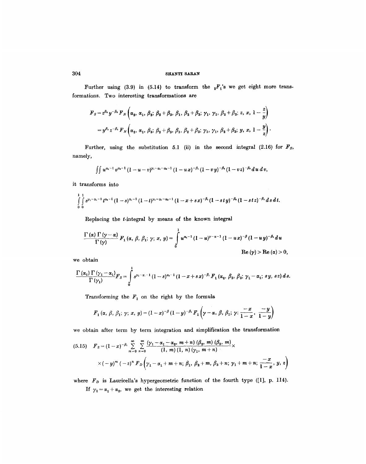# $304$  shanti saran

Further using (3.9) in (5.14) to transform the  ${}_2F_1$ 's we get eight more transformations. Two interesting transformations are

$$
F_{S} = z^{\beta_{1}} y^{-\beta_{1}} F_{N} \left( \alpha_{2}, \alpha_{1}, \beta_{2}; \beta_{2} + \beta_{3}, \beta_{1}, \beta_{2} + \beta_{3}; \gamma_{1}, \gamma_{1}, \beta_{2} + \beta_{3}; z, x, 1 - \frac{z}{y} \right)
$$
  
=  $y^{\beta_{1}} z^{-\beta_{1}} F_{N} \left( \alpha_{2}, \alpha_{1}, \beta_{3}; \beta_{2} + \beta_{3}, \beta_{1}, \beta_{2} + \beta_{3}; \gamma_{1}, \gamma_{1}, \beta_{2} + \beta_{3}; y, x, 1 - \frac{y}{z} \right).$ 

Further, using the substitution 5.1 (ii) in the second integral (2.16) for  $F_s$ , namely,

$$
\int \int u^{\alpha_1-1} v^{\alpha_1-1} (1-u-v)^{\gamma_1-\alpha_1-\alpha_1-1} (1-u x)^{-\beta_1} (1-v y)^{-\beta_1} (1-v z)^{-\beta_2} du dv,
$$

it transforms into

$$
\int_{0}^{1} \int_{0}^{1} s^{\gamma_1-\alpha_1-1} t^{\alpha_2-1} (1-s)^{\alpha_1-1} (1-t)^{\gamma_1-\alpha_1-\alpha_2-1} (1-x+s x)^{-\beta_1} (1-s t y)^{-\beta_2} (1-s t z)^{-\beta_1} ds dt.
$$

Replacing the t-integral by means of the known integral

$$
\frac{\Gamma(\alpha)\Gamma(\gamma-\alpha)}{\Gamma(\gamma)}\,F_1(\alpha,\,\beta,\,\beta_1;\,\gamma;\,x,\,y)=\int\limits_0^1 u^{\alpha_1-1}\,(1-u)^{\gamma-\alpha-1}\,(1-u\,x)^{-\beta}\,(1-u\,y)^{-\beta_1}\,du
$$
\n
$$
\text{Re}\,(\gamma)>\text{Re}\,(\alpha)>0,
$$

we obtain

$$
\frac{\Gamma\left(\alpha_{1}\right)\Gamma\left(\gamma_{1}-\alpha_{1}\right)}{\Gamma\left(\gamma_{1}\right)}F_{S}=\int\limits_{0}^{1}s^{\gamma_{1}-\alpha_{1}-1}\left(1-s\right)^{\alpha_{1}-1}\left(1-x+s x\right)^{-\beta_{1}}F_{1}\left(\alpha_{2},\ \beta_{2},\ \beta_{3};\ \gamma_{1}-\alpha_{1};\ s y,\ s z\right)ds.
$$

Transforming the  $F_1$  on the right by the formula

$$
F_1(\alpha, \beta, \beta_1; \gamma; x, y) = (1-x)^{-\beta} (1-y)^{-\beta_1} F_1(\gamma-\alpha, \beta, \beta_1; \gamma; \frac{-x}{1-x}, \frac{-y}{1-y})
$$

we obtain after term by term integration and simplification the transformation

$$
(5.15) \quad F_S = (1-x)^{-\beta_1} \sum_{m=0}^{\infty} \sum_{n=0}^{\infty} \frac{(\gamma_1 - \alpha_1 - \alpha_2, m+n) (\beta_2, m) (\beta_3, m)}{(1, m) (1, n) (\gamma_1, m+n)} \times \\ \times (-y)^m (-z)^n F_D \left( \gamma_1 - \alpha_1 + m + n; \beta_1, \beta_2 + m, \beta_3 + n; \gamma_1 + m + n; \frac{-x}{1-x}, y, z \right)
$$

where  $F_D$  is Lauricella's hypergeometric function of the fourth type ([1], p. 114). If  $\gamma_1 = \alpha_1 + \alpha_2$ , we get the interesting relation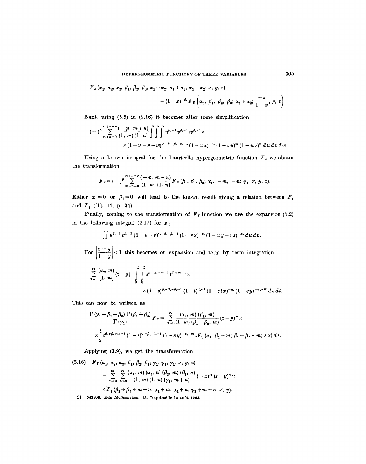$$
F_S(\alpha_1, \alpha_2, \alpha_3, \beta_1, \beta_2, \beta_3; \alpha_1+\alpha_2, \alpha_1+\alpha_2, \alpha_1+\alpha_2; x, y, z)
$$
  
=  $(1-x)^{-\beta_1} F_D(\alpha_2, \beta_1, \beta_2, \beta_3; \alpha_1+\alpha_2; \frac{-x}{1-x}, y, z)$ 

Next, using (5.5) in (2.16) it becomes after some simplification

$$
(-)^p \sum_{m+n=0}^{m+n=p} \frac{(-p, m+n)}{(1, m) (1, n)} \iiint u^{\beta_1-1} v^{\beta_2-1} w^{\beta_2-1} \times \times (1-u-v-w)^{\gamma_1-\beta_1-\beta_2-\beta_2-1} (1-ux)^{-\alpha_1} (1-vy)^m (1-wz)^n du dv dw.
$$

Using a known integral for the Lauricella hypergeometric function  $F_B$  we obtain the transformation

$$
F_{S} = (-)^{p} \sum_{m+n=0}^{m+n=p} \frac{(-p, m+n)}{(1, m)(1, n)} F_{B} (\beta_{1}, \beta_{2}, \beta_{3}; \alpha_{1}, -m, -n; \gamma_{1}; x, y, z).
$$

Either  $\alpha_1 = 0$  or  $\beta_1 = 0$  will lead to the known result giving a relation between  $F_1$ and  $F_3$  ([1], 14, p. 34).

Finally, coming to the transformation of  $F<sub>T</sub>$ -function we use the expansion (5.2) in the following integral  $(2.17)$  for  $F_T$ 

$$
\int\!\!\int u^{\beta_2-1}\,v^{\beta_1-1}\,(1-u-v)^{\gamma_1-\beta_1-\beta_2-1}\,(1-v\,x)^{-\alpha_1}(1-u\,y-v\,z)^{-\alpha_2}\,d\,u\,d\,v.
$$

For 
$$
\left|\frac{z-y}{1-y}\right| < 1
$$
 this becomes on expansion and term by term integration\n
$$
\sum_{m=0}^{\infty} \frac{(\alpha_2, m)}{(1, m)} (z-y)^m \int_{0}^{1} \int_{0}^{1} s^{\beta_1 + \beta_2 + m - 1} t^{\beta_1 + m - 1} \times
$$
\n
$$
\times (1-s)^{\gamma_1 - \beta_1 - \beta_1 - 1} (1-t)^{\beta_1 - 1} (1-stx)^{-\alpha_1} (1-sy)^{-\alpha_2 - m} ds dt.
$$

This can now be written as

$$
\frac{\Gamma(\gamma_1-\beta_1-\beta_2)\Gamma(\beta_1+\beta_2)}{\Gamma(\gamma_1)} F_T = \sum_{m=0}^{\infty} \frac{(\alpha_2, m)(\beta_1, m)}{(1, m)(\beta_1+\beta_2, m)} (z-y)^m \times
$$
  
 
$$
\times \int_0^1 s^{\beta_1+\beta_2+m-1} (1-s)^{\gamma_1-\beta_1-\beta_1-1} (1-sy)^{-\alpha_2-m} {}_2F_1(\alpha_1, \beta_1+m; \beta_1+\beta_2+m; s x) ds.
$$

Applying (3.9), we get the transformation

$$
(5.16) \quad F_T(\alpha_1, \alpha_2, \alpha_2, \beta_1, \beta_2, \beta_1; \gamma_1, \gamma_1, \gamma_1; x, y, z) = \sum_{m=0}^{\infty} \sum_{n=0}^{\infty} \frac{(\alpha_1, m) (\alpha_2, n) (\beta_2, m) (\beta_1, n)}{(1, m) (1, n) (\gamma_1, m+n)} (-x)^m (z-y)^n \times \times F_1(\beta_1 + \beta_2 + m+n; \alpha_1 + m, \alpha_2 + n; \gamma_1 + m+n; x, y).
$$

21 - 543809. *Acta Mathematica*. 93. Imprimé le 15 août 1955.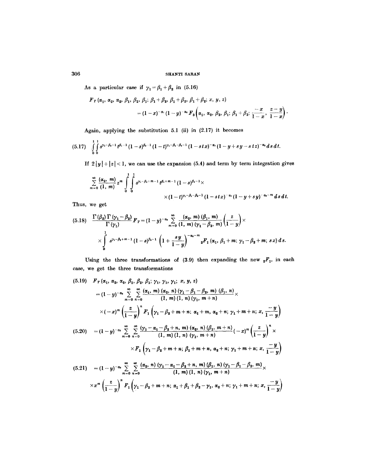As a particular case if  $\gamma_1 = \beta_1 + \beta_2$  in (5.16)

$$
F_T(\alpha_1, \alpha_2, \alpha_2, \beta_1, \beta_2, \beta_1; \beta_1 + \beta_2, \beta_1 + \beta_2, \beta_1 + \beta_2; x, y, z)
$$
  
=  $(1-x)^{-\alpha_1}(1-y)^{-\alpha_2} F_3(\alpha_1, \alpha_2, \beta_2, \beta_1; \beta_1 + \beta_2; \frac{-x}{1-x}, \frac{z-y}{1-x}).$ 

Again, applying the substitution 5.1 (ii) in (2.17) it becomes

$$
(5.17) \quad \int\limits_{0}^{1} \int\limits_{0}^{1} s^{\gamma_1-\beta_2-1} t^{\beta_1-1} (1-s)^{\beta_2-1} (1-t)^{\gamma_1-\beta_1-\beta_2-1} (1-stx)^{-\alpha_1} (1-y+s\,y-s\,tz)^{-\alpha_2} ds\,dt.
$$

If  $2|y|+|z|<1$ , we can use the expansion (5.4) and term by term integration gives

$$
\sum_{m=0}^{\infty} \frac{(\alpha_2, m)}{(1, m)} z^m \int_{0}^{1} \int_{0}^{1} s^{\gamma_1 - \beta_1 + m - 1} t^{\beta_1 + m - 1} (1 - s)^{\beta_1 - 1} \times
$$
  
 
$$
\times (1 - t)^{\gamma_1 - \beta_1 - \beta_2 - 1} (1 - s t x)^{-\alpha_1} (1 - y + s y)^{-\alpha_2 - m} ds dt.
$$

Thus, we get

$$
(5.18) \quad \frac{\Gamma(\beta_2) \Gamma(\gamma_1 - \beta_2)}{\Gamma(\gamma_1)} F_T = (1-y)^{-\alpha_2} \sum_{m=0}^{\infty} \frac{(\alpha_2, m) (\beta_1, m)}{(1, m) (\gamma_1 - \beta_2, m)} \left(\frac{z}{1-y}\right) \times \times \int_{0}^{1} s^{\gamma_1 - \beta_1 + m - 1} (1-s)^{\beta_1 - 1} \left(1 + \frac{sy}{1-y}\right)^{-\alpha_2 - m} {}_{2}F_1(\alpha_1, \beta_1 + m; \gamma_1 - \beta_2 + m; \ s x) ds.
$$

Using the three transformations of (3.9) then expanding the new  ${}_2F_1$ , in each case, we get the three transformations

$$
(5.19) \quad F_T(\alpha_1, \alpha_2, \alpha_2, \beta_1, \beta_2, \beta_1; \gamma_1, \gamma_1, \gamma_1, x, y, z)
$$
\n
$$
= (1 - y)^{-\alpha_1} \sum_{m=0}^{\infty} \sum_{n=0}^{\infty} \frac{(\alpha_1, m) (\alpha_2, n) (\gamma_1 - \beta_1 - \beta_2, m) (\beta_1, n)}{(1, m) (1, n) (\gamma_1, m+n)} \times
$$
\n
$$
\times (-x)^m \left(\frac{z}{1-y}\right)^n F_1(\gamma_1 - \beta_2 + m + n; \alpha_1 + m, \alpha_2 + n; \gamma_1 + m + n; x, \frac{-y}{1-y})
$$
\n
$$
(5.20) \quad = (1 - y)^{-\alpha_1} \sum_{m=0}^{\infty} \sum_{n=0}^{\infty} \frac{(\gamma_1 - \alpha_1 - \beta_2 + n, m) (\alpha_2, n) (\beta_1, m+n)}{(1, m) (1, n) (\gamma_1, m+n)} (-x)^m \left(\frac{z}{1-y}\right)^n \times
$$
\n
$$
\times F_1(\gamma_1 - \beta_2 + m + n; \beta_1 + m + n, \alpha_2 + n; \gamma_1 + m + n; x, \frac{-y}{1-y})
$$
\n
$$
(5.21) \quad = (1 - y)^{-\alpha_1} \sum_{m=0}^{\infty} \sum_{n=0}^{\infty} \frac{(\alpha_2, n) (\gamma_1 - \alpha_1 - \beta_2 + n, m) (\beta_1, n) (\gamma_1 - \beta_1 - \beta_2, m)}{(1, m) (1, n) (\gamma_1, m + n)}
$$
\n
$$
\times x^m \left(\frac{z}{1-y}\right)^n F_1(\gamma_1 - \beta_2 + m + n; \alpha_1 + \beta_1 + \beta_2 - \gamma_1, \alpha_2 + n; \gamma_1 + m + n; x, \frac{-y}{1-y})
$$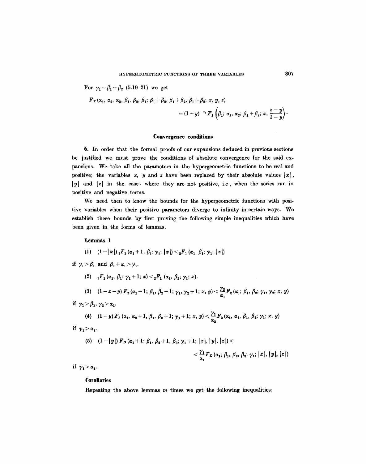For  $\gamma_1 = \beta_1 + \beta_2$  (5.19-21) we get

$$
F_T(\alpha_1, \alpha_2, \alpha_2, \beta_1, \beta_2, \beta_1; \beta_1+\beta_2, \beta_1+\beta_2, \beta_1+\beta_2; x, y, z)
$$
  
=  $(1-y)^{-\alpha_2} F_1\left(\beta_1; \alpha_1, \alpha_2; \beta_1+\beta_2; x, \frac{z-y}{1-y}\right)$ 

### **Convergence conditions**

6. In order that the formal proofs of our expansions deduced in previous sections be justified we must prove the conditions of absolute convergence for the said expansions. We take all the parameters in the hypergeometric functions to be real and positive; the variables x, y and z have been replaced by their absolute values  $|x|$ ,  $|y|$  and  $|z|$  in the cases where they are not positive, i.e., when the series run in positive and negative terms.

We need then to know the bounds for the hypergeometric functions with positive variables when their positive parameters diverge to infinity in certain ways. We establish these bounds by first proving the following simple inequalities which have been given in the forms of lemmas.

Lemmas 1

(1) 
$$
(1-|x|) {}_{2}F_{1}(\alpha_{1}+1, \beta_{1}; \gamma_{1}; |x|) < {}_{2}F_{1}(\alpha_{1}, \beta_{1}; \gamma_{1}; |x|)
$$

if  $\gamma_1 > \beta_1$  and  $\beta_1 + \alpha_1 > \gamma_1$ .

(2)  ${}_{2}F_{1}(\alpha_{1}, \beta_{1}; \gamma_{1}+1; x)<_{2}F_{1}(\alpha_{1}, \beta_{1}; \gamma_{1}; x).$ 

(3)  $(1-x-y) F_2(\alpha_1+1; \beta_1, \beta_2+1; \gamma_1, \gamma_2+1; x, y) < \frac{r_2}{\alpha_1} F_2(\alpha_1; \beta_1, \beta_2; \gamma_1, \gamma_2; x, y)$ 

if 
$$
\gamma_1 > \beta_1, \gamma_2 > \alpha_1
$$
.

(4) 
$$
(1-y) F_3(\alpha_1, \alpha_2+1, \beta_1, \beta_2+1; \gamma_1+1; x, y) < \frac{\gamma_1}{\alpha_2} F_3(\alpha_1, \alpha_2, \beta_1, \beta_2; \gamma_1; x, y)
$$

if  $\gamma_1 > \alpha_2$ .

(5) 
$$
(1-|y|) F_D(\alpha_1+1; \beta_1, \beta_2+1, \beta_3; \gamma_1+1; |x|, |y|, |z|)
$$
  
 $< \frac{\gamma_1}{\alpha_1} F_D(\alpha_1; \beta_1, \beta_2, \beta_3; \gamma_1; |x|, |y|, |z|)$ 

if  $\gamma_1 > \alpha_1$ .

#### **Corollaries**

Repeating the above lemmas  $m$  times we get the following inequalities: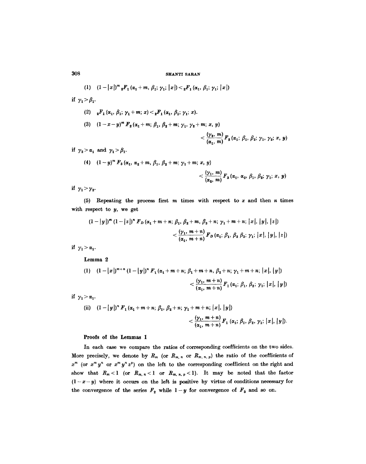(1) 
$$
(1-|x|)^m {}_{2}F_1(\alpha_1+m, \beta_1; \gamma_1; |x|) < {}_{2}F_1(\alpha_1, \beta_1; \gamma_1; |x|)
$$

if  $\gamma_1 > \beta_1$ .

(2) 
$$
{}_{2}F_{1}(\alpha_{1}, \beta_{1}; \gamma_{1}+m; x) < {}_{2}F_{1}(\alpha_{1}, \beta_{1}; \gamma_{1}; x).
$$
  
\n(3)  $(1-x-y)^{m} F_{2}(\alpha_{1}+m; \beta_{1}, \beta_{2}+m; \gamma_{1}, \gamma_{2}+m; x, y) < \frac{(\gamma_{2}, m)}{(\alpha_{1}, m)} F_{2}(\alpha_{1}; \beta_{1}, \beta_{2}; \gamma_{1}, \gamma_{2}; x, y)$ 

if  $\gamma_2 > \alpha_1$  and  $\gamma_1 > \beta_1$ .

(4) 
$$
(1-y)^m F_3(\alpha_1, \alpha_2+m, \beta_1, \beta_2+m; \gamma_1+m; x, y)
$$
  
 $<\frac{(\gamma_1, m)}{(\alpha_2, m)} F_3(\alpha_1, \alpha_2, \beta_1, \beta_2; \gamma_1; x, y)$ 

if  $\gamma_1 > \gamma_2$ .

(5) Repeating the process first  $m$  times with respect to  $x$  and then  $n$  times with respect to y, we get

$$
(1-|y|)^{m} (1-|z|)^{n} F_{D} (\alpha_{1}+m+n; \beta_{1}, \beta_{2}+m, \beta_{3}+n; \gamma_{1}+m+n; |x|, |y|, |z|)
$$
  

$$
< \frac{(\gamma_{1}, m+n)}{(\alpha_{1}, m+n)} F_{D} (\alpha_{1}; \beta_{1}, \beta_{2}, \beta_{3}; \gamma_{1}; |x|, |y|, |z|)
$$

if  $\gamma_1 > \alpha_1$ .

Lemma 2

(1) 
$$
(1-|x|)^{m+n} (1-|y|)^n F_1(\alpha_1 + m + n; \beta_1 + m + n, \beta_2 + n; \gamma_1 + m + n; |x|, |y|)
$$
  

$$
< \frac{(\gamma_1, m+n)}{(\alpha_1, m+n)} F_1(\alpha_1; \beta_1, \beta_2; \gamma_1; |x|, |y|)
$$
  
if  $\gamma_1 > \alpha_1$ .

(ii) 
$$
(1 - |y|)^n F_1(\alpha_1 + m + n; \beta_1, \beta_2 + n; \gamma_1 + m + n; |x|, |y|)
$$
  
 $< \frac{(\gamma_1, m + n)}{(\alpha_1, m + n)} F_1(\alpha_1; \beta_1, \beta_2, \gamma_1; |x|, |y|).$ 

## Proofs of the Lemmas 1

In each case we compare the ratios of corresponding coefficients on the two sides. More precisely, we denote by  $R_m$  (or  $R_{m,n}$  or  $R_{m,n,p}$ ) the ratio of the coefficients of  $x^m$  (or  $x^m y^n$  or  $x^m y^n z^p$ ) on the left to the corresponding coefficient on the right and show that  $R_m < 1$  (or  $R_{m, n} < 1$  or  $R_{m, n, p} < 1$ ). It may be noted that the factor  $(1-x-y)$  where it occurs on the left is positive by virtue of conditions necessary for the convergence of the series  $F_2$  while  $1-y$  for convergence of  $F_3$  and so on.

308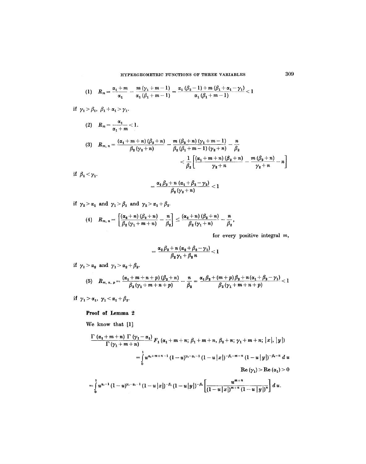(1) 
$$
R_m = \frac{\alpha_1 + m}{\alpha_1} - \frac{m (\gamma_1 + m - 1)}{\alpha_1 (\beta_1 + m - 1)} = \frac{\alpha_1 (\beta_2 - 1) + m (\beta_1 + \alpha_1 - \gamma_1)}{\alpha_1 (\beta_1 + m - 1)} < 1
$$

if  $\gamma_1 > \beta_1$ ,  $\beta_1 + \alpha_1 > \gamma_1$ .

(2) 
$$
R_m = \frac{\alpha_1}{\alpha_1 + m} < 1.
$$
  
\n(3)  $R_{m, n} = \frac{(\alpha_1 + m + n) (\beta_2 + n)}{\beta_2 (\gamma_2 + n)} - \frac{m (\beta_2 + n) (\gamma_1 + m - 1)}{\beta_2 (\beta_1 + m - 1) (\gamma_2 + n)} - \frac{n}{\beta_2}$   
\n $< \frac{1}{\beta_2} \left[ \frac{(\alpha_1 + m + n) (\beta_2 + n)}{\gamma_2 + n} - \frac{m (\beta_2 + n)}{\gamma_2 + n} - n \right]$ 

if  $\beta_1 < \gamma_1$ .

$$
=\frac{\alpha_1\,\beta_2+n\,(\alpha_1+\beta_2-\gamma_2)}{\beta_2\,(\gamma_2+n)}<1
$$

if  $\gamma_2 > \alpha_1$  and  $\gamma_1 > \beta_1$  and  $\gamma_2 > \alpha_1 + \beta_2$ .

$$
(4) \quad R_{m,\;n}=\left[\frac{\left(\alpha_{2}+n\right)\left(\beta_{2}+n\right)}{\beta_{2}\left(\gamma_{1}+m+n\right)}-\frac{n}{\beta_{2}}\right]\leq\frac{\left(\alpha_{2}+n\right)\left(\beta_{2}+n\right)}{\beta_{2}\left(\gamma_{1}+n\right)}-\frac{n}{\beta_{2}},
$$

for every positive integral m,

$$
=\frac{\alpha_2\,\beta_2+n\,(\alpha_2+\beta_2-\gamma_1)}{\beta_2\,\gamma_1+\beta_2\,n}<1
$$

if  $\gamma_1 > \alpha_2$  and  $\gamma_1 > \alpha_2 + \beta_2$ .

(5) 
$$
R_{m, n, p} = \frac{(\alpha_1 + m + n + p) (\beta_2 + n)}{\beta_2 (\gamma_1 + m + n + p)} - \frac{n}{\beta_2} = \frac{\alpha_1 \beta_2 + (m + p) \beta_2 + n (\alpha_1 + \beta_2 - \gamma_1)}{\beta_2 (\gamma_1 + m + n + p)} < 1
$$

if  $\gamma_1 > \alpha_1$ ,  $\gamma_1 < \alpha_1 + \beta_2$ .

# **Proof of Lemma 2**

We know that [1]

$$
\frac{\Gamma(\alpha_1+m+n)\Gamma(\gamma_1-\alpha_1)}{\Gamma(\gamma_1+m+n)}F_1(\alpha_1+m+n;\beta_1+m+n,\beta_2+n;\gamma_1+m+n;\vert x\vert,\vert y\vert)
$$
  
=  $\int_0^1 u^{\alpha_1+m+n-1}(1-u)^{\gamma_1-\alpha_1-1}(1-u\vert x\vert)^{-\beta_1-m-n}(1-u\vert y\vert)^{-\beta_1-n} du$   
Re  $(\gamma_1) > \text{Re }(\alpha_1) > 0$   
=  $\int_0^1 u^{\alpha_1-1}(1-u)^{\gamma_1-\alpha_1-1}(1-u\vert x\vert)^{-\beta_1}(1-u\vert y\vert)^{-\beta_2}\left[\frac{u^{m+n}}{(1-u\vert x\vert)^{m+n}(1-u\vert y\vert)^n}\right]du.$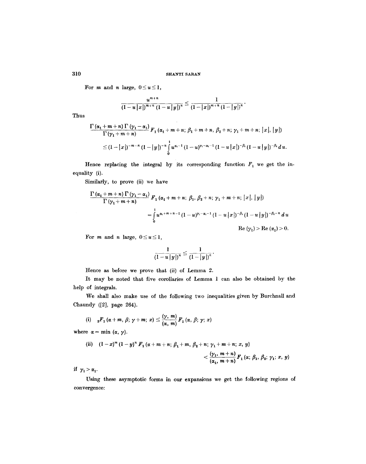For *m* and *n* large,  $0 \le u \le 1$ ,

$$
\frac{u^{m+n}}{(1-u|x|)^{m+n}(1-u|y|)^n}\leq \frac{1}{(1-|x|)^{m+n}(1-|y|)^n}.
$$

 $\sim$ 

Thus

$$
\frac{\Gamma(\alpha_1+m+n)\Gamma(\gamma_1-\alpha_1)}{\Gamma(\gamma_1+m+n)}F_1(\alpha_1+m+n;\,\beta_1+m+n,\,\beta_2+n;\,\gamma_1+m+n;\,|x|,|y|)
$$
  
\n
$$
\leq (1-|x|)^{-m-n}(1-|y|)^{-n}\int_{0}^{1}u^{\alpha_1-1}(1-u)^{\gamma_1-\alpha_1-1}(1-u|x|)^{-\beta_1}(1-u|y|)^{-\beta_2}du.
$$

Hence replacing the integral by its corresponding function  $F_1$  we get the inequality (i).

Similarly, to prove (ii) we have

$$
\frac{\Gamma(\alpha_1+m+n)\Gamma(\gamma_1-\alpha_1)}{\Gamma(\gamma_1+m+n)} F_1(\alpha_1+m+n; \beta_1, \beta_2+n; \gamma_1+m+n; |x|, |y|)
$$
  
= 
$$
\int_0^1 u^{\alpha_1+m+n-1} (1-u)^{\gamma_1-\alpha_1-1} (1-u |x|)^{-\beta_1} (1-u |y|)^{-\beta_1-n} du
$$
  
Re  $(\gamma_1) > \text{Re } (\alpha_1) > 0$ .

For *m* and *n* large,  $0 \le u \le 1$ ,

$$
\frac{1}{(1-u|y|)^n} \leq \frac{1}{(1-|y|)^n}.
$$

Hence as before we prove that (ii) of Lemma 2.

It may be noted that five corollaries of Lemma 1 can also be obtained by the help of integrals.

We shall also make use of the following two inequalities given by Burchnall and Chaundy ([2], page 264).

(i) 
$$
{}_{2}F_{1}(\alpha+m, \beta; \gamma+m; x) \leq \frac{(\gamma, m)}{(\alpha, m)} F_{1}(\alpha, \beta; \gamma; x)
$$

where  $\alpha = \min (\alpha, \gamma)$ .

(ii) 
$$
(1-x)^m (1-y)^n F_1 (\alpha + m + n; \beta_1 + m, \beta_2 + n; \gamma_1 + m + n; x, y)
$$
  
 $< \frac{(\gamma_1, m+n)}{(\alpha_1, m+n)} F_1 (\alpha; \beta_1, \beta_2; \gamma_1; x, y)$ 

if  $\gamma_1 > \alpha_1$ .

Using these asymptotic forms in our expansions we get the following regions of convergence: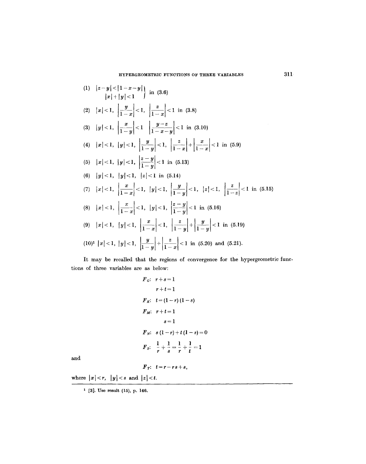(1) 
$$
|z-y| < |1-x-y|
$$
 in (3.6)  
\n $|x|+|y| < 1$  in (3.6)  
\n(2)  $|x| < 1$ ,  $\left|\frac{y}{1-x}\right| < 1$ ,  $\left|\frac{z}{1-x}\right| < 1$  in (3.8)  
\n(3)  $|y| < 1$ ,  $\left|\frac{x}{1-y}\right| < 1$ ,  $\left|\frac{y-z}{1-x-y}\right| < 1$  in (3.10)  
\n(4)  $|x| < 1$ ,  $|y| < 1$ ,  $\left|\frac{y}{1-y}\right| < 1$ ,  $\left|\frac{z}{1-x}\right| + \left|\frac{x}{1-x}\right| < 1$  in (5.9)  
\n(5)  $|x| < 1$ ,  $|y| < 1$ ,  $\left|\frac{z-y}{1-y}\right| < 1$  in (5.13)  
\n(6)  $|y| < 1$ ,  $|y| < 1$ ,  $|z| < 1$  in (5.14)  
\n(7)  $|x| < 1$ ,  $\left|\frac{x}{1-x}\right| < 1$ ,  $|y| < 1$ ,  $\left|\frac{y}{1-y}\right| < 1$ ,  $|z| < 1$ ,  $\left|\frac{z}{1-z}\right| < 1$  in (5.15)  
\n(8)  $|x| < 1$ ,  $\left|\frac{x}{1-x}\right| < 1$ ,  $|y| < 1$ ,  $\left|\frac{z-y}{1-y}\right| < 1$  in (5.16)  
\n(9)  $|x| < 1$ ,  $|y| < 1$ ,  $\left|\frac{x}{1-x}\right| < 1$ ,  $\left|\frac{z}{1-y}\right| + \left|\frac{y}{1-y}\right| < 1$  in (5.19)  
\n(10)<sup>1</sup>  $|x| < 1$ ,  $|y| < 1$ ,  $\left|\frac{y}{1-y}\right| + \left|\frac{z}{1-x}\right| < 1$  in (5.20) and (5.21).

It may be recalled that the regions of convergence for the hypergeometric functions of three variables are as below:

$$
F_{G}: r+s=1
$$
  
\n
$$
r+t=1
$$
  
\n
$$
F_{K}: t=(1-r)(1-s)
$$
  
\n
$$
F_{M}: r+t=1
$$
  
\n
$$
s=1
$$
  
\n
$$
F_{N}: s(1-r)+t(1-s)=0
$$
  
\n
$$
F_{S}: \frac{1}{r}+\frac{1}{s}=\frac{1}{r}+\frac{1}{t}=1
$$

and

$$
F_r: t=r-rs+s,
$$

where  $|x| < r$ ,  $|y| < s$  and  $|z| < t$ .

<sup>1 [3].</sup> Use result (15), p. 146.